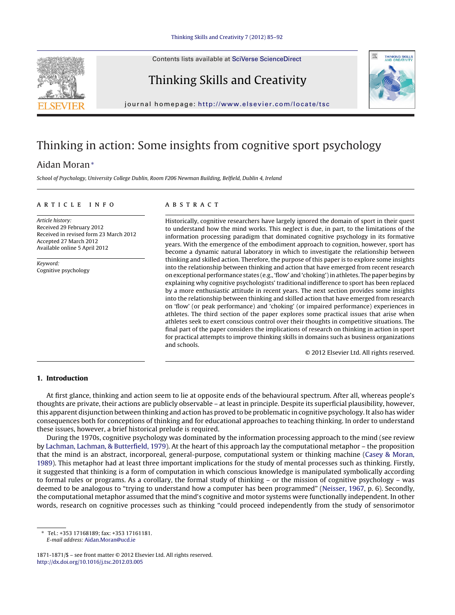Contents lists available at SciVerse [ScienceDirect](http://www.sciencedirect.com/science/journal/18711871)





Thinking Skills and Creativity

journal homepage: <http://www.elsevier.com/locate/tsc>

## Thinking in action: Some insights from cognitive sport psychology

### Aidan Moran<sup>∗</sup>

School of Psychology, University College Dublin, Room F206 Newman Building, Belfield, Dublin 4, Ireland

#### ARTICLE INFO

Article history: Received 29 February 2012 Received in revised form 23 March 2012 Accepted 27 March 2012 Available online 5 April 2012

Keyword: Cognitive psychology

#### A B S T R A C T

Historically, cognitive researchers have largely ignored the domain of sport in their quest to understand how the mind works. This neglect is due, in part, to the limitations of the information processing paradigm that dominated cognitive psychology in its formative years. With the emergence of the embodiment approach to cognition, however, sport has become a dynamic natural laboratory in which to investigate the relationship between thinking and skilled action. Therefore, the purpose of this paper is to explore some insights into the relationship between thinking and action that have emerged from recent research on exceptional performance states (e.g., 'flow' and 'choking')in athletes. The paper begins by explaining why cognitive psychologists' traditional indifference to sport has been replaced by a more enthusiastic attitude in recent years. The next section provides some insights into the relationship between thinking and skilled action that have emerged from research on 'flow' (or peak performance) and 'choking' (or impaired performance) experiences in athletes. The third section of the paper explores some practical issues that arise when athletes seek to exert conscious control over their thoughts in competitive situations. The final part of the paper considers the implications of research on thinking in action in sport for practical attempts to improve thinking skills in domains such as business organizations and schools.

© 2012 Elsevier Ltd. All rights reserved.

#### **1. Introduction**

At first glance, thinking and action seem to lie at opposite ends of the behavioural spectrum. After all, whereas people's thoughts are private, their actions are publicly observable – at least in principle. Despite its superficial plausibility, however, this apparent disjunction between thinking and action has proved to be problematic in cognitive psychology. It also has wider consequences both for conceptions of thinking and for educational approaches to teaching thinking. In order to understand these issues, however, a brief historical prelude is required.

During the 1970s, cognitive psychology was dominated by the information processing approach to the mind (see review by [Lachman,](#page--1-0) [Lachman,](#page--1-0) [&](#page--1-0) [Butterfield,](#page--1-0) [1979\).](#page--1-0) At the heart of this approach lay the computational metaphor – the proposition that the mind is an abstract, incorporeal, general-purpose, computational system or thinking machine [\(Casey](#page--1-0) [&](#page--1-0) [Moran,](#page--1-0) [1989\).](#page--1-0) This metaphor had at least three important implications for the study of mental processes such as thinking. Firstly, it suggested that thinking is a form of computation in which conscious knowledge is manipulated symbolically according to formal rules or programs. As a corollary, the formal study of thinking – or the mission of cognitive psychology – was deemed to be analogous to "trying to understand how a computer has been programmed" [\(Neisser,](#page--1-0) [1967,](#page--1-0) p. 6). Secondly, the computational metaphor assumed that the mind's cognitive and motor systems were functionally independent. In other words, research on cognitive processes such as thinking "could proceed independently from the study of sensorimotor

<sup>∗</sup> Tel.: +353 17168189; fax: +353 17161181. E-mail address: [Aidan.Moran@ucd.ie](mailto:Aidan.Moran@ucd.ie)

<sup>1871-1871/\$</sup> – see front matter © 2012 Elsevier Ltd. All rights reserved. [http://dx.doi.org/10.1016/j.tsc.2012.03.005](dx.doi.org/10.1016/j.tsc.2012.03.005)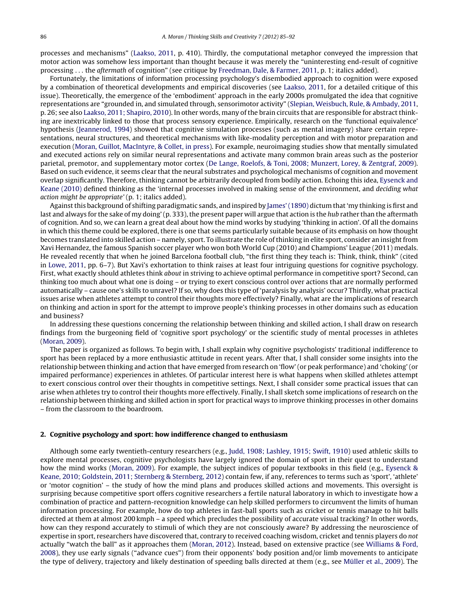processes and mechanisms" [\(Laakso,](#page--1-0) [2011,](#page--1-0) p. 410). Thirdly, the computational metaphor conveyed the impression that motor action was somehow less important than thought because it was merely the "uninteresting end-result of cognitive processing . . . the aftermath of cognition" (see critique by [Freedman,](#page--1-0) [Dale,](#page--1-0) [&](#page--1-0) [Farmer,](#page--1-0) [2011,](#page--1-0) p. 1; italics added).

Fortunately, the limitations of information processing psychology's disembodied approach to cognition were exposed by a combination of theoretical developments and empirical discoveries (see [Laakso,](#page--1-0) [2011,](#page--1-0) for a detailed critique of this issue). Theoretically, the emergence of the 'embodiment' approach in the early 2000s promulgated the idea that cognitive representations are "grounded in, and simulated through, sensorimotor activity" ([Slepian,](#page--1-0) [Weisbuch,](#page--1-0) [Rule,](#page--1-0) [&](#page--1-0) [Ambady,](#page--1-0) [2011,](#page--1-0) p. 26; see also [Laakso,](#page--1-0) [2011;](#page--1-0) [Shapiro,](#page--1-0) [2010\).](#page--1-0) In other words, many of the brain circuits that are responsible for abstract thinking are inextricably linked to those that process sensory experience. Empirically, research on the 'functional equivalence' hypothesis ([Jeannerod,](#page--1-0) [1994\)](#page--1-0) showed that cognitive simulation processes (such as mental imagery) share certain representations, neural structures, and theoretical mechanisms with like-modality perception and with motor preparation and execution [\(Moran,](#page--1-0) [Guillot,](#page--1-0) [MacIntyre,](#page--1-0) [&](#page--1-0) [Collet,](#page--1-0) [in](#page--1-0) [press\).](#page--1-0) For example, neuroimaging studies show that mentally simulated and executed actions rely on similar neural representations and activate many common brain areas such as the posterior parietal, premotor, and supplementary motor cortex [\(De](#page--1-0) [Lange,](#page--1-0) [Roelofs,](#page--1-0) [&](#page--1-0) [Toni,](#page--1-0) [2008;](#page--1-0) [Munzert,](#page--1-0) [Lorey,](#page--1-0) [&](#page--1-0) [Zentgraf,](#page--1-0) [2009\).](#page--1-0) Based on such evidence, it seems clear that the neural substrates and psychological mechanisms of cognition and movement overlap significantly. Therefore, thinking cannot be arbitrarily decoupled from bodily action. Echoing this idea, [Eysenck](#page--1-0) [and](#page--1-0) [Keane](#page--1-0) [\(2010\)](#page--1-0) defined thinking as the 'internal processes involved in making sense of the environment, and deciding what action might be appropriate' (p. 1; italics added).

Againstthis background of shifting paradigmatic sands, and inspired by [James'\(1890\)](#page--1-0) dictum that'my thinking is first and last and always for the sake of my doing' (p. 333), the present paper will argue that action is the hub rather than the aftermath of cognition. And so, we can learn a great deal about how the mind works by studying 'thinking in action'. Of all the domains in which this theme could be explored, there is one that seems particularly suitable because of its emphasis on how thought becomes translated into skilled action – namely, sport. To illustrate the role ofthinking in elite sport, consider an insightfrom Xavi Hernandez, the famous Spanish soccer player who won both World Cup (2010) and Champions' League (2011) medals. He revealed recently that when he joined Barcelona football club, "the first thing they teach is: Think, think, think" (cited in [Lowe,](#page--1-0) [2011,](#page--1-0) pp. 6–7). But Xavi's exhortation to think raises at least four intriguing questions for cognitive psychology. First, what exactly should athletes think *about* in striving to achieve optimal performance in competitive sport? Second, can thinking too much about what one is doing – or trying to exert conscious control over actions that are normally performed automatically – cause one's skills to unravel? If so, why does this type of 'paralysis by analysis' occur? Thirdly, what practical issues arise when athletes attempt to control their thoughts more effectively? Finally, what are the implications of research on thinking and action in sport for the attempt to improve people's thinking processes in other domains such as education and business?

In addressing these questions concerning the relationship between thinking and skilled action, I shall draw on research findings from the burgeoning field of 'cognitive sport psychology' or the scientific study of mental processes in athletes [\(Moran,](#page--1-0) [2009\).](#page--1-0)

The paper is organized as follows. To begin with, I shall explain why cognitive psychologists' traditional indifference to sport has been replaced by a more enthusiastic attitude in recent years. After that, I shall consider some insights into the relationship between thinking and action that have emerged from research on 'flow' (or peak performance) and 'choking' (or impaired performance) experiences in athletes. Of particular interest here is what happens when skilled athletes attempt to exert conscious control over their thoughts in competitive settings. Next, I shall consider some practical issues that can arise when athletes try to control their thoughts more effectively. Finally, I shall sketch some implications of research on the relationship between thinking and skilled action in sport for practical ways to improve thinking processes in other domains – from the classroom to the boardroom.

#### **2. Cognitive psychology and sport: how indifference changed to enthusiasm**

Although some early twentieth-century researchers (e.g., [Judd,](#page--1-0) [1908;](#page--1-0) [Lashley,](#page--1-0) [1915;](#page--1-0) [Swift,](#page--1-0) [1910\)](#page--1-0) used athletic skills to explore mental processes, cognitive psychologists have largely ignored the domain of sport in their quest to understand how the mind works [\(Moran,](#page--1-0) [2009\).](#page--1-0) For example, the subject indices of popular textbooks in this field (e.g., [Eysenck](#page--1-0) [&](#page--1-0) [Keane,](#page--1-0) [2010;](#page--1-0) [Goldstein,](#page--1-0) [2011;](#page--1-0) [Sternberg](#page--1-0) [&](#page--1-0) [Sternberg,](#page--1-0) [2012\)](#page--1-0) contain few, if any, references to terms such as 'sport', 'athlete' or 'motor cognition' – the study of how the mind plans and produces skilled actions and movements. This oversight is surprising because competitive sport offers cognitive researchers a fertile natural laboratory in which to investigate how a combination of practice and pattern-recognition knowledge can help skilled performers to circumvent the limits of human information processing. For example, how do top athletes in fast-ball sports such as cricket or tennis manage to hit balls directed at them at almost 200 kmph – a speed which precludes the possibility of accurate visual tracking? In other words, how can they respond accurately to stimuli of which they are not consciously aware? By addressing the neuroscience of expertise in sport, researchers have discovered that, contrary to received coaching wisdom, cricket and tennis players do not actually "watch the ball" as it approaches them [\(Moran,](#page--1-0) [2012\).](#page--1-0) Instead, based on extensive practice (see [Williams](#page--1-0) [&](#page--1-0) [Ford,](#page--1-0) [2008\),](#page--1-0) they use early signals ("advance cues") from their opponents' body position and/or limb movements to anticipate the type of delivery, trajectory and likely destination of speeding balls directed at them (e.g., see [Müller](#page--1-0) et [al.,](#page--1-0) [2009\).](#page--1-0) The